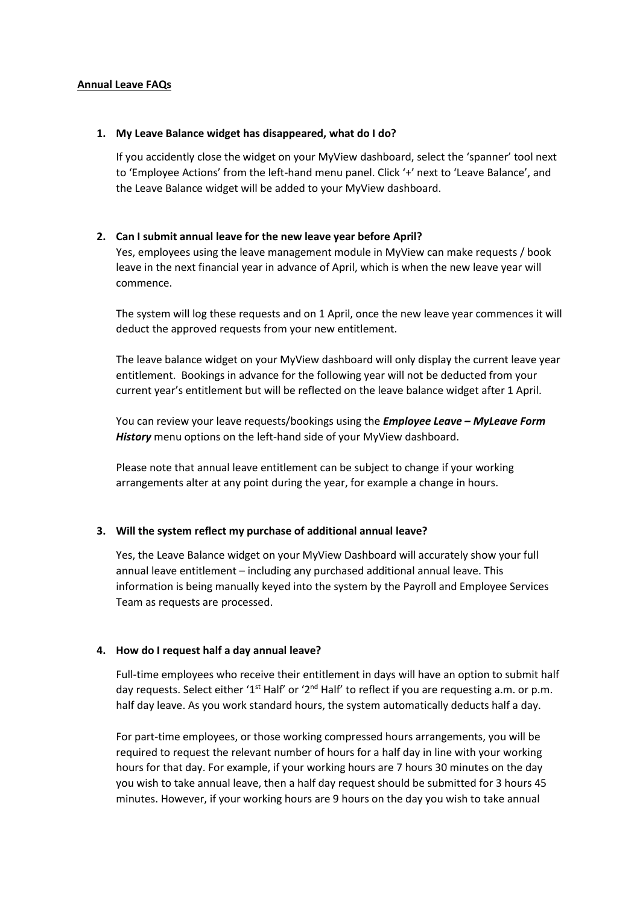#### **Annual Leave FAQs**

#### **1. My Leave Balance widget has disappeared, what do I do?**

If you accidently close the widget on your MyView dashboard, select the 'spanner' tool next to 'Employee Actions' from the left-hand menu panel. Click '+' next to 'Leave Balance', and the Leave Balance widget will be added to your MyView dashboard.

## **2. Can I submit annual leave for the new leave year before April?**

Yes, employees using the leave management module in MyView can make requests / book leave in the next financial year in advance of April, which is when the new leave year will commence.

The system will log these requests and on 1 April, once the new leave year commences it will deduct the approved requests from your new entitlement.

The leave balance widget on your MyView dashboard will only display the current leave year entitlement. Bookings in advance for the following year will not be deducted from your current year's entitlement but will be reflected on the leave balance widget after 1 April.

You can review your leave requests/bookings using the *Employee Leave – MyLeave Form History* menu options on the left-hand side of your MyView dashboard.

Please note that annual leave entitlement can be subject to change if your working arrangements alter at any point during the year, for example a change in hours.

## **3. Will the system reflect my purchase of additional annual leave?**

Yes, the Leave Balance widget on your MyView Dashboard will accurately show your full annual leave entitlement – including any purchased additional annual leave. This information is being manually keyed into the system by the Payroll and Employee Services Team as requests are processed.

## **4. How do I request half a day annual leave?**

Full-time employees who receive their entitlement in days will have an option to submit half day requests. Select either '1<sup>st</sup> Half' or '2<sup>nd</sup> Half' to reflect if you are requesting a.m. or p.m. half day leave. As you work standard hours, the system automatically deducts half a day.

For part-time employees, or those working compressed hours arrangements, you will be required to request the relevant number of hours for a half day in line with your working hours for that day. For example, if your working hours are 7 hours 30 minutes on the day you wish to take annual leave, then a half day request should be submitted for 3 hours 45 minutes. However, if your working hours are 9 hours on the day you wish to take annual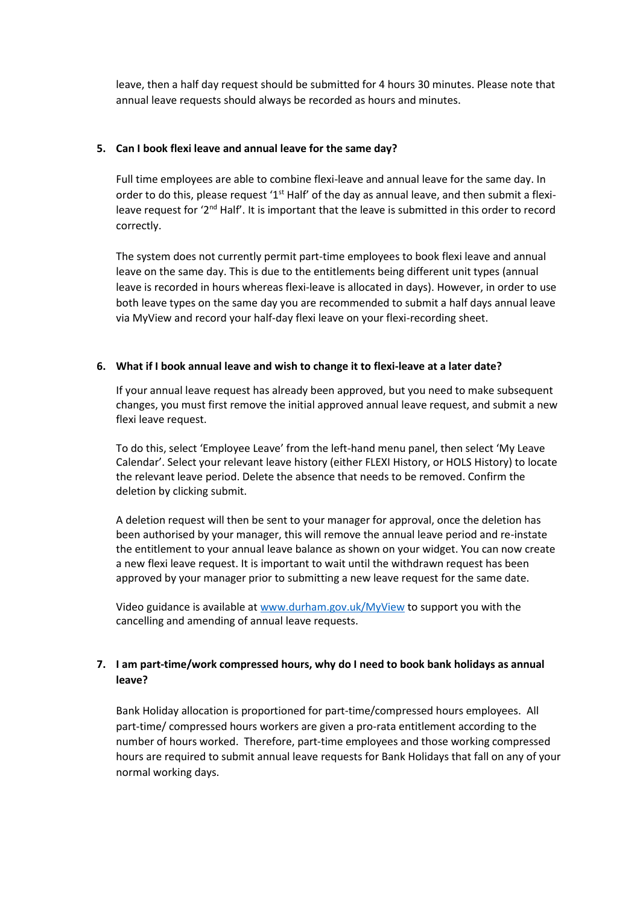leave, then a half day request should be submitted for 4 hours 30 minutes. Please note that annual leave requests should always be recorded as hours and minutes.

## **5. Can I book flexi leave and annual leave for the same day?**

Full time employees are able to combine flexi-leave and annual leave for the same day. In order to do this, please request '1<sup>st</sup> Half' of the day as annual leave, and then submit a flexileave request for '2<sup>nd</sup> Half'. It is important that the leave is submitted in this order to record correctly.

The system does not currently permit part-time employees to book flexi leave and annual leave on the same day. This is due to the entitlements being different unit types (annual leave is recorded in hours whereas flexi-leave is allocated in days). However, in order to use both leave types on the same day you are recommended to submit a half days annual leave via MyView and record your half-day flexi leave on your flexi-recording sheet.

## **6. What if I book annual leave and wish to change it to flexi-leave at a later date?**

If your annual leave request has already been approved, but you need to make subsequent changes, you must first remove the initial approved annual leave request, and submit a new flexi leave request.

To do this, select 'Employee Leave' from the left-hand menu panel, then select 'My Leave Calendar'. Select your relevant leave history (either FLEXI History, or HOLS History) to locate the relevant leave period. Delete the absence that needs to be removed. Confirm the deletion by clicking submit.

A deletion request will then be sent to your manager for approval, once the deletion has been authorised by your manager, this will remove the annual leave period and re-instate the entitlement to your annual leave balance as shown on your widget. You can now create a new flexi leave request. It is important to wait until the withdrawn request has been approved by your manager prior to submitting a new leave request for the same date.

Video guidance is available at [www.durham.gov.uk/MyView](http://www.durham.gov.uk/MyView) to support you with the cancelling and amending of annual leave requests.

# **7. I am part-time/work compressed hours, why do I need to book bank holidays as annual leave?**

Bank Holiday allocation is proportioned for part-time/compressed hours employees. All part-time/ compressed hours workers are given a pro-rata entitlement according to the number of hours worked. Therefore, part-time employees and those working compressed hours are required to submit annual leave requests for Bank Holidays that fall on any of your normal working days.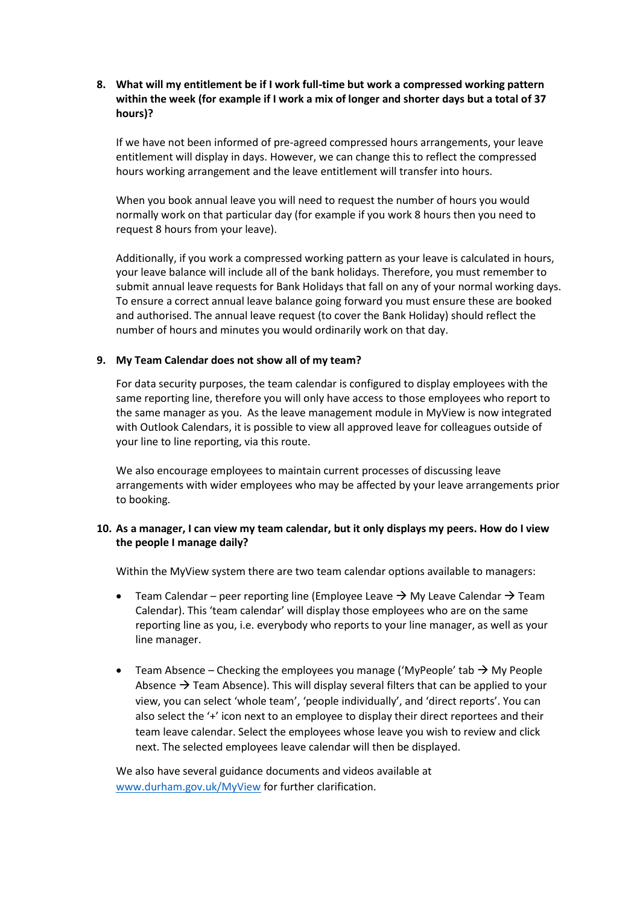# **8. What will my entitlement be if I work full-time but work a compressed working pattern within the week (for example if I work a mix of longer and shorter days but a total of 37 hours)?**

If we have not been informed of pre-agreed compressed hours arrangements, your leave entitlement will display in days. However, we can change this to reflect the compressed hours working arrangement and the leave entitlement will transfer into hours.

When you book annual leave you will need to request the number of hours you would normally work on that particular day (for example if you work 8 hours then you need to request 8 hours from your leave).

Additionally, if you work a compressed working pattern as your leave is calculated in hours, your leave balance will include all of the bank holidays. Therefore, you must remember to submit annual leave requests for Bank Holidays that fall on any of your normal working days. To ensure a correct annual leave balance going forward you must ensure these are booked and authorised. The annual leave request (to cover the Bank Holiday) should reflect the number of hours and minutes you would ordinarily work on that day.

## **9. My Team Calendar does not show all of my team?**

For data security purposes, the team calendar is configured to display employees with the same reporting line, therefore you will only have access to those employees who report to the same manager as you. As the leave management module in MyView is now integrated with Outlook Calendars, it is possible to view all approved leave for colleagues outside of your line to line reporting, via this route.

We also encourage employees to maintain current processes of discussing leave arrangements with wider employees who may be affected by your leave arrangements prior to booking.

# **10. As a manager, I can view my team calendar, but it only displays my peers. How do I view the people I manage daily?**

Within the MyView system there are two team calendar options available to managers:

- Team Calendar peer reporting line (Employee Leave  $\rightarrow$  My Leave Calendar  $\rightarrow$  Team Calendar). This 'team calendar' will display those employees who are on the same reporting line as you, i.e. everybody who reports to your line manager, as well as your line manager.
- Team Absence Checking the employees you manage ('MyPeople' tab  $\rightarrow$  My People Absence  $\rightarrow$  Team Absence). This will display several filters that can be applied to your view, you can select 'whole team', 'people individually', and 'direct reports'. You can also select the '+' icon next to an employee to display their direct reportees and their team leave calendar. Select the employees whose leave you wish to review and click next. The selected employees leave calendar will then be displayed.

We also have several guidance documents and videos available at [www.durham.gov.uk/MyView](http://www.durham.gov.uk/MyView) for further clarification.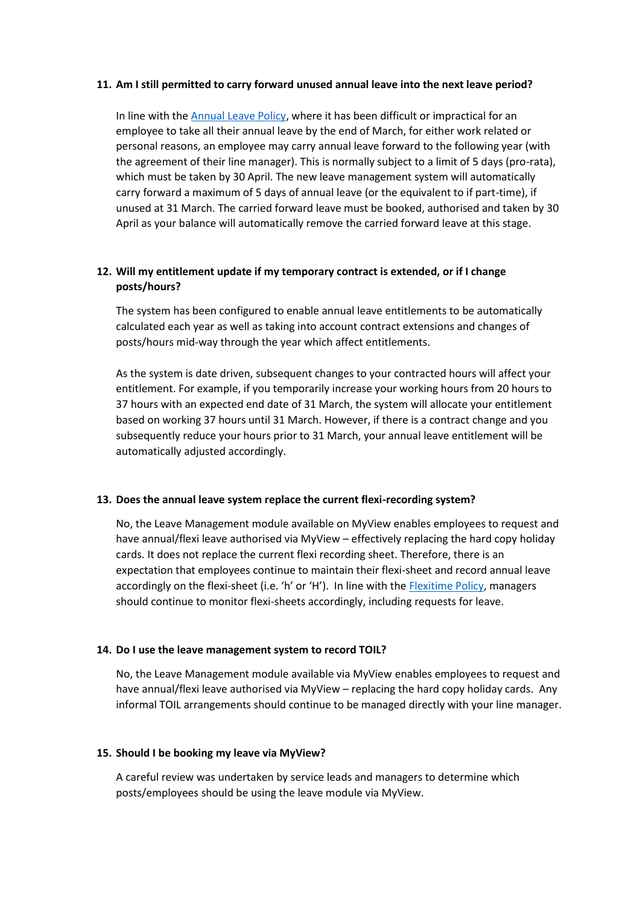#### **11. Am I still permitted to carry forward unused annual leave into the next leave period?**

In line with th[e Annual Leave Policy,](http://intranet.durham.gov.uk/Pages/PoliciesandProceduresDetails.aspx?ItemId=1768) where it has been difficult or impractical for an employee to take all their annual leave by the end of March, for either work related or personal reasons, an employee may carry annual leave forward to the following year (with the agreement of their line manager). This is normally subject to a limit of 5 days (pro-rata), which must be taken by 30 April. The new leave management system will automatically carry forward a maximum of 5 days of annual leave (or the equivalent to if part-time), if unused at 31 March. The carried forward leave must be booked, authorised and taken by 30 April as your balance will automatically remove the carried forward leave at this stage.

# **12. Will my entitlement update if my temporary contract is extended, or if I change posts/hours?**

The system has been configured to enable annual leave entitlements to be automatically calculated each year as well as taking into account contract extensions and changes of posts/hours mid-way through the year which affect entitlements.

As the system is date driven, subsequent changes to your contracted hours will affect your entitlement. For example, if you temporarily increase your working hours from 20 hours to 37 hours with an expected end date of 31 March, the system will allocate your entitlement based on working 37 hours until 31 March. However, if there is a contract change and you subsequently reduce your hours prior to 31 March, your annual leave entitlement will be automatically adjusted accordingly.

## **13. Does the annual leave system replace the current flexi-recording system?**

No, the Leave Management module available on MyView enables employees to request and have annual/flexi leave authorised via MyView – effectively replacing the hard copy holiday cards. It does not replace the current flexi recording sheet. Therefore, there is an expectation that employees continue to maintain their flexi-sheet and record annual leave accordingly on the flexi-sheet (i.e. 'h' or 'H'). In line with the **Flexitime Policy**, managers should continue to monitor flexi-sheets accordingly, including requests for leave.

## **14. Do I use the leave management system to record TOIL?**

No, the Leave Management module available via MyView enables employees to request and have annual/flexi leave authorised via MyView – replacing the hard copy holiday cards. Any informal TOIL arrangements should continue to be managed directly with your line manager.

#### **15. Should I be booking my leave via MyView?**

A careful review was undertaken by service leads and managers to determine which posts/employees should be using the leave module via MyView.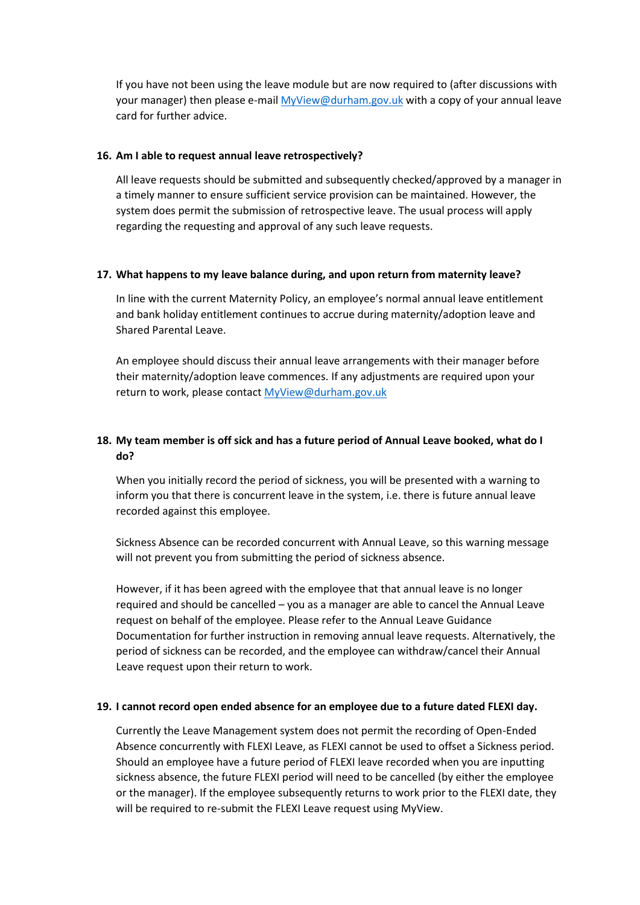If you have not been using the leave module but are now required to (after discussions with your manager) then please e-mai[l MyView@durham.gov.uk](mailto:MyView@durham.gov.uk) with a copy of your annual leave card for further advice.

#### **16. Am I able to request annual leave retrospectively?**

All leave requests should be submitted and subsequently checked/approved by a manager in a timely manner to ensure sufficient service provision can be maintained. However, the system does permit the submission of retrospective leave. The usual process will apply regarding the requesting and approval of any such leave requests.

#### **17. What happens to my leave balance during, and upon return from maternity leave?**

In line with the current Maternity Policy, an employee's normal annual leave entitlement and bank holiday entitlement continues to accrue during maternity/adoption leave and Shared Parental Leave.

An employee should discuss their annual leave arrangements with their manager before their maternity/adoption leave commences. If any adjustments are required upon your return to work, please contact [MyView@durham.gov.uk](mailto:MyView@durham.gov.uk)

# **18. My team member is off sick and has a future period of Annual Leave booked, what do I do?**

When you initially record the period of sickness, you will be presented with a warning to inform you that there is concurrent leave in the system, i.e. there is future annual leave recorded against this employee.

Sickness Absence can be recorded concurrent with Annual Leave, so this warning message will not prevent you from submitting the period of sickness absence.

However, if it has been agreed with the employee that that annual leave is no longer required and should be cancelled – you as a manager are able to cancel the Annual Leave request on behalf of the employee. Please refer to the Annual Leave Guidance Documentation for further instruction in removing annual leave requests. Alternatively, the period of sickness can be recorded, and the employee can withdraw/cancel their Annual Leave request upon their return to work.

## **19. I cannot record open ended absence for an employee due to a future dated FLEXI day.**

Currently the Leave Management system does not permit the recording of Open-Ended Absence concurrently with FLEXI Leave, as FLEXI cannot be used to offset a Sickness period. Should an employee have a future period of FLEXI leave recorded when you are inputting sickness absence, the future FLEXI period will need to be cancelled (by either the employee or the manager). If the employee subsequently returns to work prior to the FLEXI date, they will be required to re-submit the FLEXI Leave request using MyView.